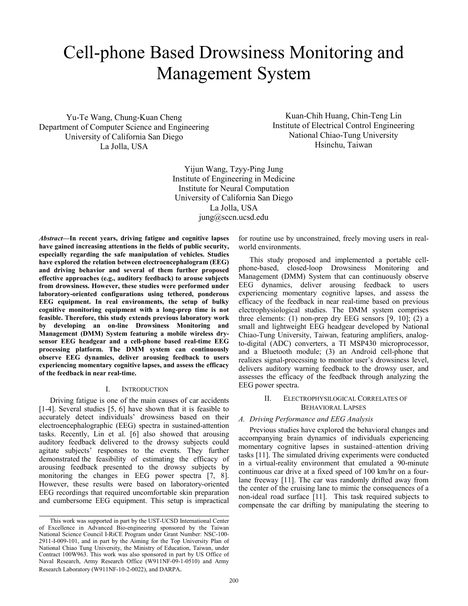# Cell-phone Based Drowsiness Monitoring and Management System

Yu-Te Wang, Chung-Kuan Cheng Department of Computer Science and Engineering University of California San Diego La Jolla, USA

Kuan-Chih Huang, Chin-Teng Lin Institute of Electrical Control Engineering National Chiao-Tung University Hsinchu, Taiwan

Yijun Wang, Tzyy-Ping Jung Institute of Engineering in Medicine Institute for Neural Computation University of California San Diego La Jolla, USA jung@sccn.ucsd.edu

*Abstract***—In recent years, driving fatigue and cognitive lapses have gained increasing attentions in the fields of public security, especially regarding the safe manipulation of vehicles. Studies have explored the relation between electroencephalogram (EEG) and driving behavior and several of them further proposed effective approaches (e.g., auditory feedback) to arouse subjects from drowsiness. However, these studies were performed under laboratory-oriented configurations using tethered, ponderous EEG equipment. In real environments, the setup of bulky cognitive monitoring equipment with a long-prep time is not feasible. Therefore, this study extends previous laboratory work by developing an on-line Drowsiness Monitoring and Management (DMM) System featuring a mobile wireless drysensor EEG headgear and a cell-phone based real-time EEG processing platform. The DMM system can continuously observe EEG dynamics, deliver arousing feedback to users experiencing momentary cognitive lapses, and assess the efficacy of the feedback in near real-time.** 

#### I. INTRODUCTION

Driving fatigue is one of the main causes of car accidents [1-4]. Several studies [5, 6] have shown that it is feasible to accurately detect individuals' drowsiness based on their electroencephalographic (EEG) spectra in sustained-attention tasks. Recently, Lin et al. [6] also showed that arousing auditory feedback delivered to the drowsy subjects could agitate subjects' responses to the events. They further demonstrated the feasibility of estimating the efficacy of arousing feedback presented to the drowsy subjects by monitoring the changes in EEG power spectra [7, 8]. However, these results were based on laboratory-oriented EEG recordings that required uncomfortable skin preparation and cumbersome EEG equipment. This setup is impractical

for routine use by unconstrained, freely moving users in realworld environments.

This study proposed and implemented a portable cellphone-based, closed-loop Drowsiness Monitoring and Management (DMM) System that can continuously observe EEG dynamics, deliver arousing feedback to users experiencing momentary cognitive lapses, and assess the efficacy of the feedback in near real-time based on previous electrophysiological studies. The DMM system comprises three elements: (1) non-prep dry EEG sensors [9, 10]; (2) a small and lightweight EEG headgear developed by National Chiao-Tung University, Taiwan, featuring amplifiers, analogto-digital (ADC) converters, a TI MSP430 microprocessor, and a Bluetooth module; (3) an Android cell-phone that realizes signal-processing to monitor user's drowsiness level, delivers auditory warning feedback to the drowsy user, and assesses the efficacy of the feedback through analyzing the EEG power spectra.

# II. ELECTROPHYSILOGICAL CORRELATES OF BEHAVIORAL LAPSES

## *A. Driving Performance and EEG Analysis*

Previous studies have explored the behavioral changes and accompanying brain dynamics of individuals experiencing momentary cognitive lapses in sustained–attention driving tasks [11]. The simulated driving experiments were conducted in a virtual-reality environment that emulated a 90-minute continuous car drive at a fixed speed of 100 km/hr on a fourlane freeway [11]. The car was randomly drifted away from the center of the cruising lane to mimic the consequences of a non-ideal road surface [11]. This task required subjects to compensate the car drifting by manipulating the steering to

This work was supported in part by the UST-UCSD International Center of Excellence in Advanced Bio-engineering sponsored by the Taiwan National Science Council I-RiCE Program under Grant Number: NSC-100- 2911-I-009-101, and in part by the Aiming for the Top University Plan of National Chiao Tung University, the Ministry of Education, Taiwan, under Contract 100W963. This work was also sponsored in part by US Office of Naval Research, Army Research Office (W911NF-09-1-0510) and Army Research Laboratory (W911NF-10-2-0022), and DARPA.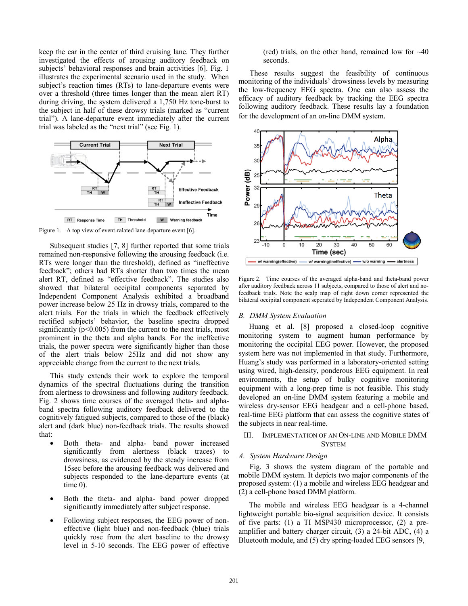keep the car in the center of third cruising lane. They further investigated the effects of arousing auditory feedback on subjects' behavioral responses and brain activities [6]. Fig. 1 illustrates the experimental scenario used in the study. When subject's reaction times (RTs) to lane-departure events were over a threshold (three times longer than the mean alert RT) during driving, the system delivered a 1,750 Hz tone-burst to the subject in half of these drowsy trials (marked as "current trial"). A lane-departure event immediately after the current trial was labeled as the "next trial" (see Fig. 1).



Figure 1. A top view of event-ralated lane-departure event [6].

Subsequent studies [7, 8] further reported that some trials remained non-responsive following the arousing feedback (i.e. RTs were longer than the threshold), defined as "ineffective feedback"; others had RTs shorter than two times the mean alert RT, defined as "effective feedback". The studies also showed that bilateral occipital components separated by Independent Component Analysis exhibited a broadband power increase below 25 Hz in drowsy trials, compared to the alert trials. For the trials in which the feedback effectively rectified subjects' behavior, the baseline spectra dropped significantly ( $p<0.005$ ) from the current to the next trials, most prominent in the theta and alpha bands. For the ineffective trials, the power spectra were significantly higher than those of the alert trials below 25Hz and did not show any appreciable change from the current to the next trials.

This study extends their work to explore the temporal dynamics of the spectral fluctuations during the transition from alertness to drowsiness and following auditory feedback. Fig. 2 shows time courses of the averaged theta- and alphaband spectra following auditory feedback delivered to the cognitively fatigued subjects, compared to those of the (black) alert and (dark blue) non-feedback trials. The results showed that:

- Both theta- and alpha- band power increased significantly from alertness (black traces) to drowsiness, as evidenced by the steady increase from 15sec before the arousing feedback was delivered and subjects responded to the lane-departure events (at time 0).
- Both the theta- and alpha- band power dropped significantly immediately after subject response.
- Following subject responses, the EEG power of noneffective (light blue) and non-feedback (blue) trials quickly rose from the alert baseline to the drowsy level in 5-10 seconds. The EEG power of effective

(red) trials, on the other hand, remained low for  $\sim 40$ seconds.

These results suggest the feasibility of continuous monitoring of the individuals' drowsiness levels by measuring the low-frequency EEG spectra. One can also assess the efficacy of auditory feedback by tracking the EEG spectra following auditory feedback. These results lay a foundation for the development of an on-line DMM system.



Figure 2. Time courses of the averaged alpha-band and theta-band power after auditory feedback across 11 subjects, compared to those of alert and nofeedback trials. Note the scalp map of right down corner represented the bilateral occipital component seperated by Independent Component Analysis.

## *B. DMM System Evaluation*

Huang et al. [8] proposed a closed-loop cognitive monitoring system to augment human performance by monitoring the occipital EEG power. However, the proposed system here was not implemented in that study. Furthermore, Huang's study was performed in a laboratory-oriented setting using wired, high-density, ponderous EEG equipment. In real environments, the setup of bulky cognitive monitoring equipment with a long-prep time is not feasible. This study developed an on-line DMM system featuring a mobile and wireless dry-sensor EEG headgear and a cell-phone based, real-time EEG platform that can assess the cognitive states of the subjects in near real-time.

# III. IMPLEMENTATION OF AN ON-LINE AND MOBILE DMM **SYSTEM**

### *A. System Hardware Design*

Fig. 3 shows the system diagram of the portable and mobile DMM system. It depicts two major components of the proposed system: (1) a mobile and wireless EEG headgear and (2) a cell-phone based DMM platform.

The mobile and wireless EEG headgear is a 4-channel lightweight portable bio-signal acquisition device. It consists of five parts: (1) a TI MSP430 microprocessor, (2) a preamplifier and battery charger circuit, (3) a 24-bit ADC, (4) a Bluetooth module, and (5) dry spring-loaded EEG sensors [9,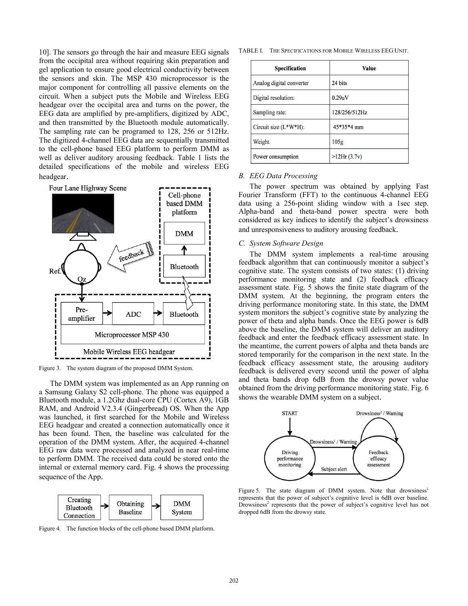10]. The sensors go through the hair and measure EEG signals from the occipital area without requiring skin preparation and gel application to ensure good electrical conductivity between the sensors and skin. The MSP 430 microprocessor is the major component for controlling all passive elements on the circuit. When a subject puts the Mobile and Wireless EEG headgear over the occipital area and turns on the power, the EEG data are amplified by pre-amplifiers, digitized by ADC, and then transmitted by the Bluetooth module automatically. The sampling rate can be programed to 128, 256 or 512Hz. The digitized 4-channel EEG data are sequentially transmitted to the cell-phone based EEG platform to perform DMM as well as deliver auditory arousing feedback. Table 1 lists the detailed specifications of the mobile and wireless EEG headgear.



Figure 3. The system diagram of the proposed DMM System.

The DMM system was implemented as an App running on a Samsung Galaxy S2 cell-phone. The phone was equipped a Bluetooth module, a 1.2Ghz dual-core CPU (Cortex A9), 1GB RAM, and Android V2.3.4 (Gingerbread) OS. When the App was launched, it first searched for the Mobile and Wireless EEG headgear and created a connection automatically once it has been found. Then, the baseline was calculated for the operation of the DMM system. After, the acquired 4-channel EEG raw data were processed and analyzed in near real-time to perform DMM. The received data could be stored onto the internal or external memory card. Fig. 4 shows the processing sequence of the App.



Figure 4. The function blocks of the cell-phone based DMM platform.

TABLE I. THE SPECIFICATIONS FOR MOBILE WIRELESS EEG UNIT.

| <b>Specification</b>     | <b>Value</b>  |
|--------------------------|---------------|
| Analog digital converter | 24 bits       |
| Digital resolution:      | 0.29uV        |
| Sampling rate:           | 128/256/512Hz |
| Circuit size $(L*W*H)$ : | 45*35*4 mm    |
| Weight                   | 105g          |
| Power consumption        | >12Hr(3.7v)   |

# *B. EEG Data Processing*

The power spectrum was obtained by applying Fast Fourier Transform (FFT) to the continuous 4-channel EEG data using a 256-point sliding window with a 1sec step. Alpha-band and theta-band power spectra were both considered as key indices to identify the subject's drowsiness and unresponsiveness to auditory arousing feedback.

## *C. System Software Design*

The DMM system implements a real-time arousing feedback algorithm that can continuously monitor a subject's cognitive state. The system consists of two states: (1) driving performance monitoring state and (2) feedback efficacy assessment state. Fig. 5 shows the finite state diagram of the DMM system. At the beginning, the program enters the driving performance monitoring state. In this state, the DMM system monitors the subject's cognitive state by analyzing the power of theta and alpha bands. Once the EEG power is 6dB above the baseline, the DMM system will deliver an auditory feedback and enter the feedback efficacy assessment state. In the meantime, the current powers of alpha and theta bands are stored temporarily for the comparison in the next state. In the feedback efficacy assessment state, the arousing auditory feedback is delivered every second until the power of alpha and theta bands drop 6dB from the drowsy power value obtained from the driving performance monitoring state. Fig. 6 shows the wearable DMM system on a subject.



Figure 5. The state diagram of DMM system. Note that drowsiness<sup>1</sup> represents that the power of subject's cognitive level is 6dB over baseline. Drowsiness<sup>2</sup> represents that the power of subject's cognitive level has not dropped 6dB from the drowsy state.